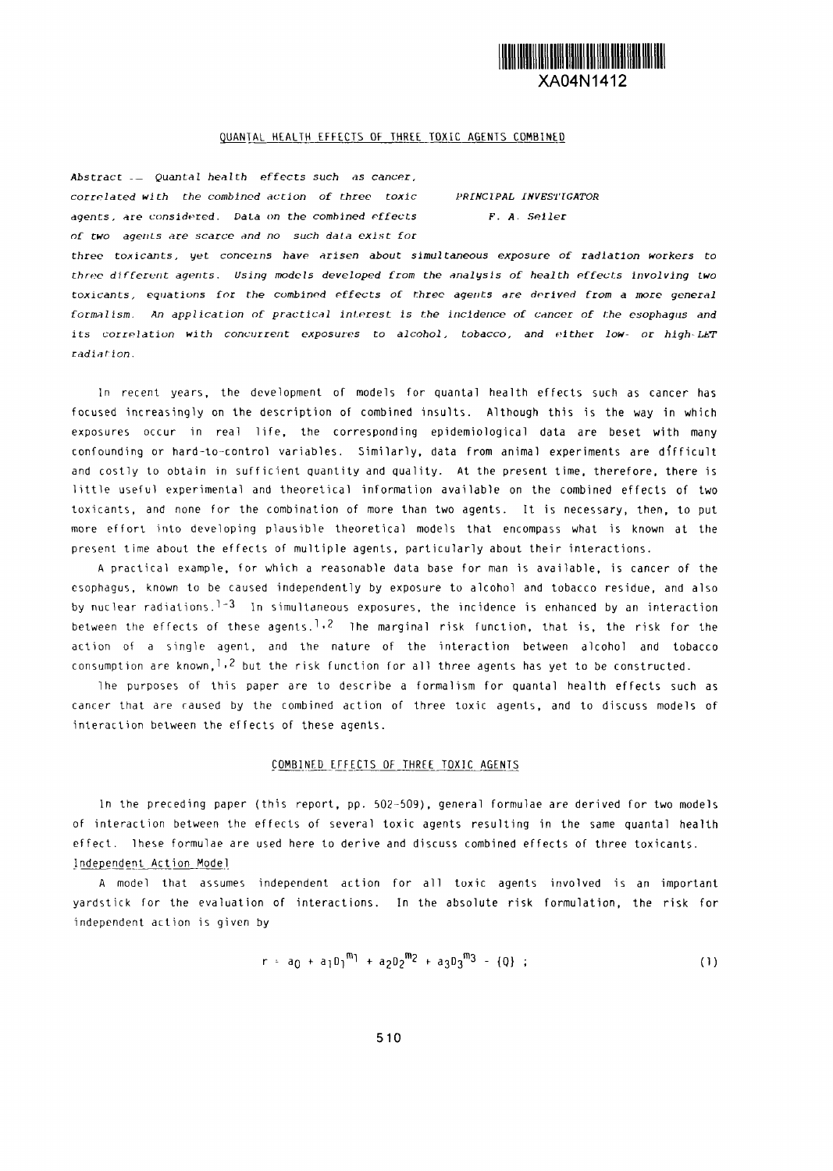

# QUANTAL HEALTH EFFECTS OF THREE TOXIC AGENTS COMBINED

Abstract -- Quantal health *effects such as cancer, correlated with the combined action of three toxic PRrNc:zPAL INVESTIGATOR* agents, **re** considered. DaLa n the *combined effects F. A. Seller of two agents are scarce and no such data exist for*

*three* toxicants, yet *concezns have arisen about simultaneous exposure of radiation workers to three dfferent agents. Using models developed from the analysis of health Pffects involving two* toxicants, *eations for* the combined *ffects of three agents are derived from a are general* formalism. *An application of practical nrest Is the icidence of cncer of the esophagus and* its correlation with *concurrent exposures to alcohol, tobacco, and elther low- or high-LPT* radiation.

In recent years, the development of models for quantal health effects such as cancer has focused increasingly on the description of combined insults. Although this is the way in which exposures occur in real life, the corresponding epidemiological data are beset with many confounding or hard-to-control variables. Similarly, data from animal experiments are difficult and costly to obtain in sufficient quantity and quality. At the present time, therefore, there is little useful experimental and theoretical information available on the combined effects of two toxicants, and none for the combination of more than two agents. It is necessary, then, to put more effort into developing plausible theoretical models that encompass what is known at the present time about the effects of multiple agents, particularly about their interactions.

A practical example, for which a reasonable data base for man is available, is cancer of the esophagus, known to be caused independently by exposure to alcohol and tobacco residue, and also by nuclear radiations.<sup>1-3</sup> In simultaneous exposures, the incidence is enhanced by an interaction between the effects of these agents.<sup>1,2</sup> lhe marginal risk function, that is, the risk for the action of a single agent, and the nature of the interaction between alcohol and tobacco consumption are known,  $1.2$  but the risk function for all three agents has yet to be constructed.

lhe purposes of this paper are to describe a formalism for quantal health effects such as cancer that are caused by the combined action of three toxic agents, and to discuss models of interaction between the effects of these agents.

## COMBINED EFFECTS OF THREE TOXIC AGENTS

In the preceding paper (this report, pp. 502-509), general formulae are derived for two models of interaction between the effects of several toxic agents resulting in the same quantal health effect. These formulae are used here to derive and discuss combined effects of three toxicants. -Indeoendent Action Model

A model that assumes independent action for all toxic agents involved is an important yardstick for the evaluation of interactions. In the absolute risk formulation, the risk for independent action is given by

$$
r = a_0 + a_1 0_1^{m_1} + a_2 0_2^{m_2} + a_3 0_3^{m_3} - \{0\} ; \qquad (1)
$$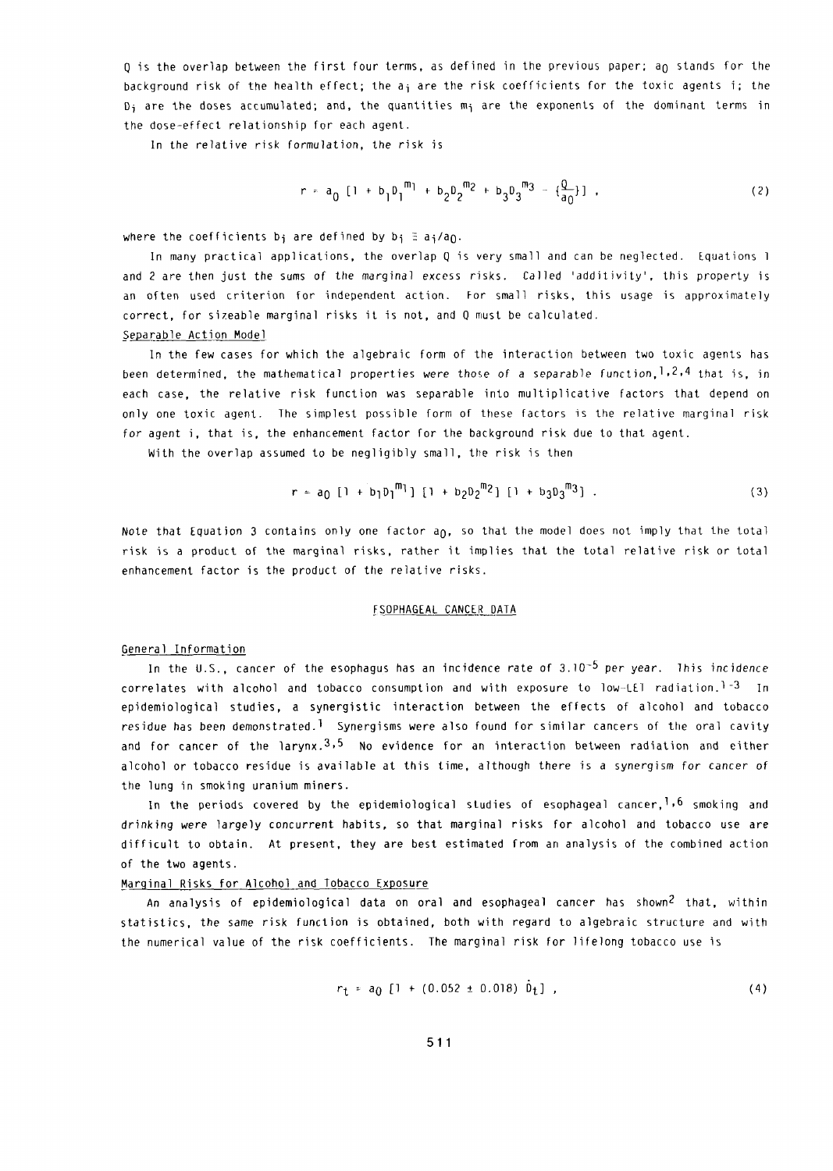Q is the overlap between the first four terms, as defined in the previous paper; an stands for the background risk of the health effect; the  $a_i$  are the risk coefficients for the toxic agents i; the  $D_i$  are the doses accumulated; and, the quantities m<sub>i</sub> are the exponents of the dominant terms in the dose-effect relationship for each agent.

In the relative risk formulation, the risk is

$$
r = a_0 [1 + b_1 D_1^{\text{m}} + b_2 D_2^{\text{m}} + b_3 D_3^{\text{m}} - \left\{ \frac{Q}{a_0} \right\} ] \tag{2}
$$

where the coefficients b<sub>i</sub> are defined by  $b_i \equiv a_i/a_0$ .

In many practical applications, the overlap Q is very small and can be neglected. Equations I and 2 are then just the sums of the marginal excess risks. Called 'additivity', this property is an often used criterion for independent action. For small risks, this usage is approximately correct, for sizeable marginal risks it is not, and Q must be calculated. Separable Action Model

In the few cases for which the algebraic form of the interaction between two toxic agents has been determined, the mathematical properties were those of a separable function,  $1,2,4$  that is, in each case, the relative risk function was separable into multiplicative factors that depend on only one toxic agent. The simplest possible form of these factors is the relative marginal risk for agent i, that is, the enhancement factor for the background risk due to that agent.

With the overlap assumed to be negligibly small, the risk is then

$$
r = a_0 [1 + b_1 b_1^m] [1 + b_2 b_2^m{}^2] [1 + b_3 b_3^m{}^3]. \qquad (3)
$$

Note that Equation 3 contains only one factor  $a_0$ , so that the model does not imply that the total risk is a product of the marginal risks, rather it implies that the total relative risk or total enhancement factor is the product of the relative risks.

# FSOPHAGEAL CANCER DATA

#### General Information

In the U.S., cancer of the esophagus has an incidence rate of  $3.10^{-5}$  per year. This incidence correlates with alcohol and tobacco consumption and with exposure to low-LEI radiation.<sup>1-3</sup> In epidemiological studies, a synergistic interaction between the effects of alcohol and tobacco residue has been demonstrated.<sup>1</sup> Synergisms were also found for similar cancers of the oral cavity and for cancer of the larynx.<sup>3,5</sup> No evidence for an interaction between radiation and either alcohol or tobacco residue is available at this time, although there is a synergism for cancer of the lung in smoking uranium miners.

In the periods covered by the epidemiological studies of esophageal cancer,  $1,6$  smoking and drinking were largely concurrent habits, so that marginal risks for alcohol and tobacco use are difficult to obtain. At present, they are best estimated from an analysis of the combined action of the two agents.

#### Marginal Risks for Alcohol and Tobacco Exposure

An analysis of epidemiological data on oral and esophageal cancer has shown<sup>2</sup> that, within statistics, the same risk function is obtained, both with regard to algebraic structure and with the numerical value of the risk coefficients. The marginal risk for lifelong tobacco use is

$$
r_t = a_0 [1 + (0.052 \pm 0.018) \dot{b}_t], \qquad (4)
$$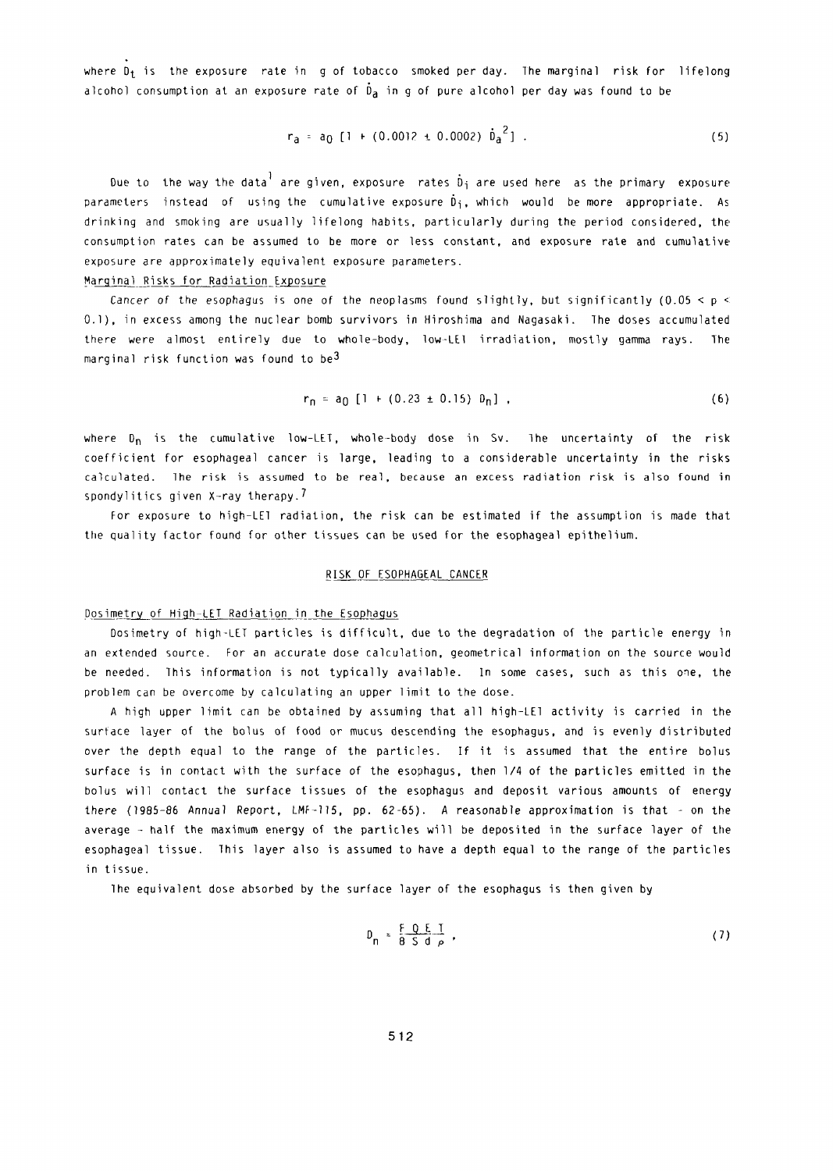where  $D_t$  is the exposure rate in g of tobacco smoked per day. The marginal risk for lifelong alcohol consumption at an exposure rate of  $\dot{\mathfrak{d}}_a$  in g of pure alcohol per day was found to be

$$
r_a = a_0 [1 + (0.0012 \pm 0.0002) \dot{b}_a^2]. \tag{5}
$$

Due to the way the data are given, exposure rates  $\hat{D}_j$  are used here as the primary exposure parameters instead of using the cumulative exposure  $\tilde{D}_i$ , which would be more appropriate. As drinking and smoking are usually lifelong habits, particularly during the period considered, the consumption rates can be assumed to be more or less constant, and exposure rate and cumulative exposure are approximately equivalent exposure parameters.

## Marginal Risks for Radiation Exposure

Cancer of the esophagus is one of the neoplasms found slightly, but significantly (0.05 < p < 0.1), in excess among the nuclear bomb survivors in Hiroshima and Nagasaki. The doses accumulated there were almost entirely due to whole-body, low-LEI irradiation, mostly gamma rays. The marginal risk function was found to be<sup>3</sup>

$$
r_n = a_0 [1 + (0.23 \pm 0.15) \, \theta_n], \qquad (6)
$$

where  $D_n$  is the cumulative low-LET, whole-body dose in Sv. The uncertainty of the risk coefficient for esophageal cancer is large, leading to a considerable uncertainty in the risks calculated. The risk is assumed to be real, because an excess radiation risk is also found in spondylitics given X-ray therapy.<sup>1</sup>

For exposure to high-LE1 radiation, the risk can be estimated if the assumption is made that the quality factor found for other tissues can be used for the esophageal epithelium.

#### RISK OF ESOPHAGEAL CANCER

## Dosimetry of High-LET Radiation in the Esophagus

Dosimetry of high-LET particles is difficult, due to the degradation of the particle energy in an extended source. For an accurate dose calculation, geometrical information on the source would be needed. This information is not typically available. In some cases, such as this one, the problem can be overcome by calculating an upper limit to the dose.

A high upper limit can be obtained by assuming that all high-LE1 activity is carried in the surface layer of the bolus of food or mucus descending the esophagus, and is evenly distributed over the depth equal to the range of the particles. If it is assumed that the entire bolus surface is in contact with the surface of the esophagus, then 14 of the particles emitted in the bolus will contact the surface tissues of the esophagus and deposit various amounts of energy there 1985-86 Annual Report, LMF-115, pp. 62-65). A reasonable approximation is that - on the average - half the maximum energy of the particles will be deposited in the surface layer of the esophageal tissue. This layer also is assumed to have a depth equal to the range of the particles in tissue.

The equivalent dose absorbed by the surface layer of the esophagus is then given by

$$
D_n = \frac{F Q E T}{8 S d \rho}, \qquad (7)
$$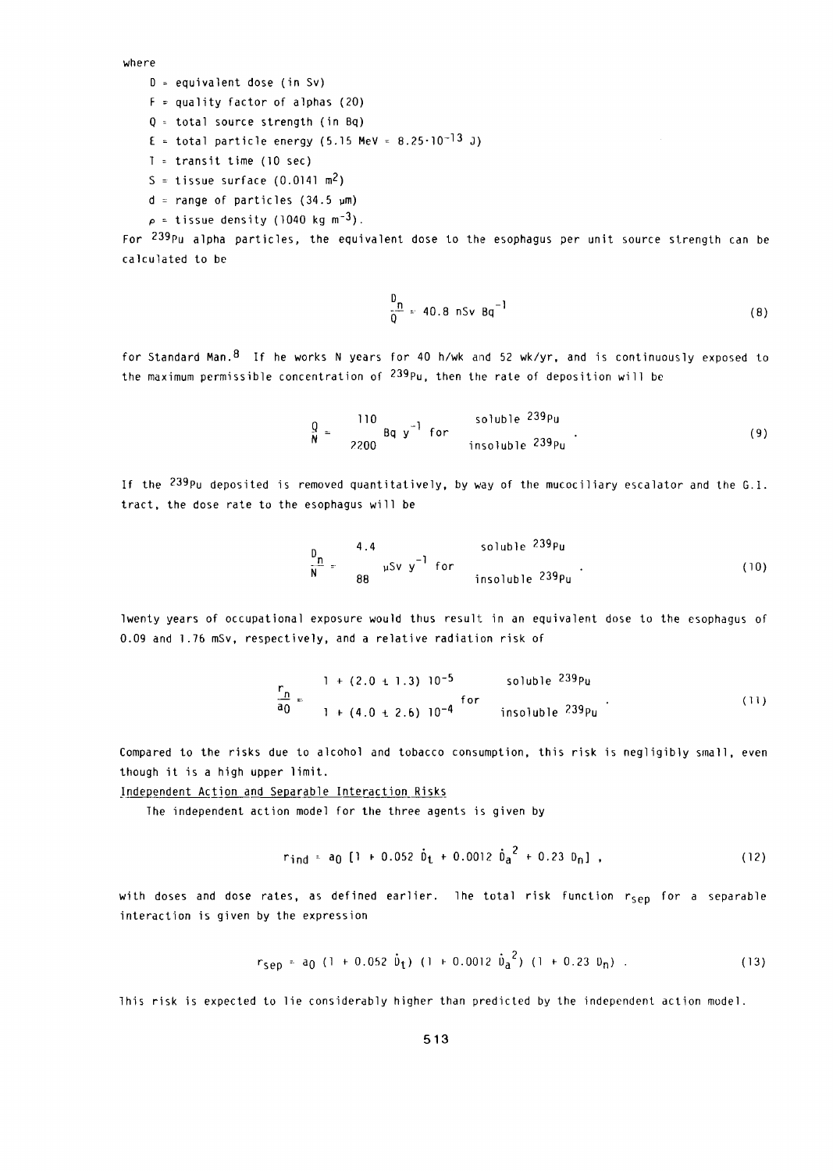where

- $D =$  equivalent dose (in Sv)
- $F =$  quality factor of alphas (20)
- $Q =$  total source strength (in Bq)
- E = total particle energy (5.15 MeV =  $8.25 \cdot 10^{-13}$  J)
- $I = trains$ it time (10 sec)
- S = tissue surface  $(0.0141 \text{ m}^2)$
- $d = range of particles (34.5 µm)$
- $\rho$  = tissue density (1040 kg m<sup>-3</sup>).

For 239Pu alpha particles, the equivalent dose to the esophagus per unit source strength can be calculated to be

$$
\frac{D_n}{Q} = 40.8 \text{ nSv Bq}^{-1}
$$
 (8)

for Standard Man. 8 If he works N years for 40 h/wk and 52 wk/yr, and is continuously exposed to the maximum permissible concentration of  $^{239}$ Pu, then the rate of deposition will be

$$
\frac{Q}{N} = \frac{110}{2200} \text{ Bq y}^{-1} \text{ for}
$$
 is  
obole 239pu  
insoluble 239pu (9)

If the  $^{239}$ Pu deposited is removed quantitatively, by way of the mucociliary escalator and the G.I. tract, the dose rate to the esophagus will be

$$
\frac{D_n}{N} = \frac{4.4}{88} \mu Sv \ y^{-1} \text{ for}
$$
 insoluble  $239p_u$  (10)

Twenty years of occupational exposure would tus result in an equivalent dose to the esophagus of 0.09 and 176 mSv, respectively, and a relative radiation risk of

$$
\frac{r_n}{a_0} = \frac{1 + (2.0 \pm 1.3) 10^{-5}}{1 + (4.0 \pm 2.6) 10^{-4}}
$$
 for  
insoluble  $^{239}Pu$  (11)

Compared to the risks due to alcohol and tobacco consumption, this risk is negligibly small, even though it is a high upper limit.

# Independent Action and Separable Interaction Risks

The independent action model for the three agents is given by

$$
r_{\text{ind}} = a_0 [1 + 0.052 \dot{b}_t + 0.0012 \dot{b}_a^2 + 0.23 b_n], \qquad (12)
$$

with doses and dose rates, as defined earlier. The total risk function r<sub>sep</sub> for a separable interaction is given by the expression

$$
r_{\text{sep}} = a_0 (1 + 0.052 \dot{v}_t) (1 + 0.0012 \dot{v}_a^2) (1 + 0.23 v_n) . \tag{13}
$$

This risk is expected to lie considerably higher than predicted by the independent action model.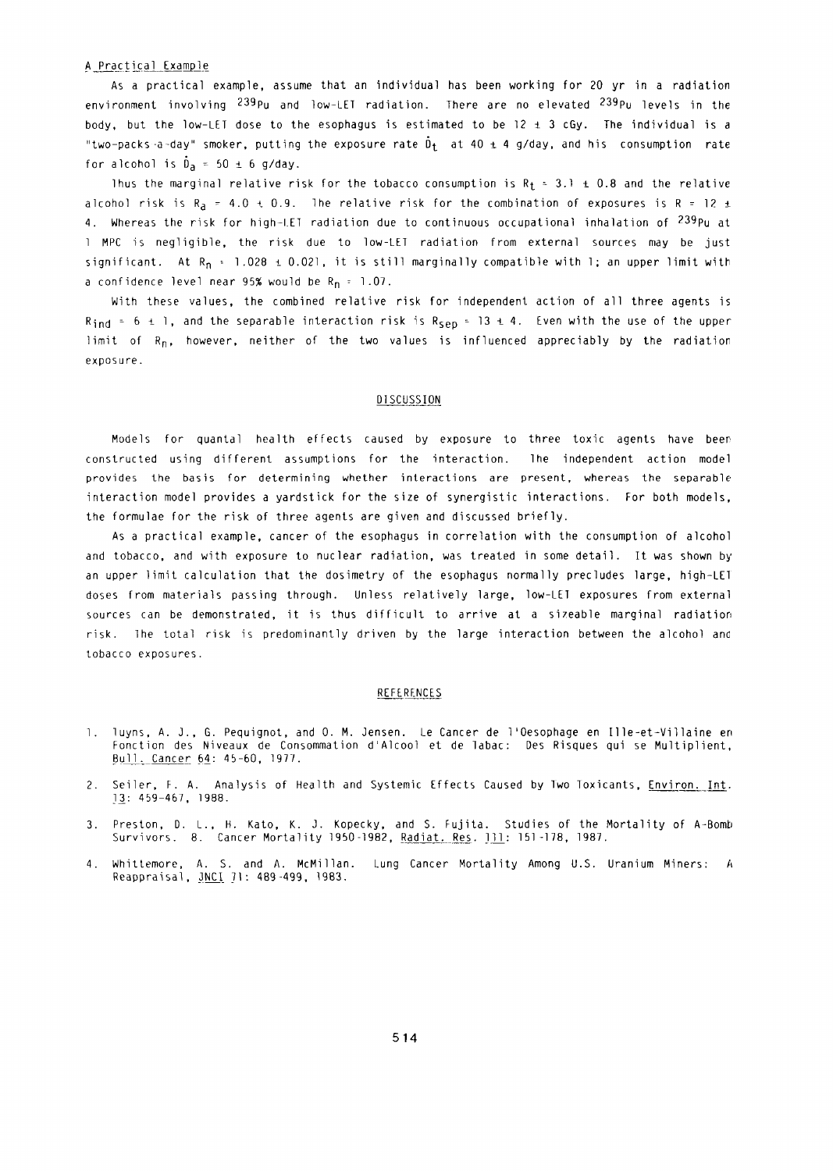### A Practical Example

As a practical example, assume that an individual has been working for 20 yr in a radiation environment involving 239pu and low-LET radiation. There are no elevated <sup>239</sup>Pu levels in the body, but the low-LET dose to the esophagus is estimated to be  $12 \pm 3$  cGy. The individual is a "two-packs-a-day" smoker, putting the exposure rate  $\tilde{D}_t$  at 40  $\pm$  4 g/day, and his consumption rate for alcohol is  $\dot{D}_a = 50 \pm 6$  g/day.

Thus the marginal relative risk for the tobacco consumption is  $R_t = 3.1 \pm 0.8$  and the relative alcohol risk is  $R_a = 4.0 \pm 0.9$ . The relative risk for the combination of exposures is R = 12 ± 4. Whereas the risk for high-LET radiation due to continuous occupational inhalation of 239Pu at 1 MPC is negligible, the risk due to low-LEI radiation from external sources may be just significant. At R<sub>n</sub> **t** 1.028 i 0.021, it is still marginally compatible with 1; an upper limit with a confidence level near 95% would be  $R_n = 1.07$ .

With these values, the combined relative risk for independent action of all three agents is  $R_{ind}$  = 6  $\pm$  1, and the separable interaction risk is  $R_{sep}$  = 13  $\pm$  4. Even with the use of the upper limit of  $R_n$ , however, neither of the two values is influenced appreciably by the radiation exposure.

# **DISCUSSION**

Models for quantal health effects caused by exposure to three toxic agents have beer constructed using different assumptions for the interaction. The independent action model provides the basis for determining whether interactions are present, whereas the separable interaction model provides a yardstick for the size of synergistic interactions. For both models, the formulae for the risk of three agents are given and discussed briefly.

As a practical example, cancer of the esophagus in correlation with the consumption of alcohol and tobacco, and with exposure to nuclear radiation, was treated in some detail. It was shown by an upper limit calculation that the dosimetry of the esophagus normally precludes large, high-LET doses from materials passing through. Unless relatively large, low-LET exposures from external sources can be demonstrated, it is thus difficult to arrive at a Si7eable marginal radiation risk. The total risk is predominantly driven by the large interaction between the alcohol and tobacco exposures.

#### REFERENCES

- 1. luyns, A. J., G. Pequignot, and 0. M. Jensen. Le Cancer de I'Cesophage en Ille-et-Villaine en Fonction des Niveaux de Consommation d'Alcool et de labac: Des Risques qui se Multiplient, Bull. Cancer 64: 45-60, 1977.
- 2. Seiler, F. A. Analysis of Health and Systemic Effects Caused by Two Toxicants, Environ. Int. 13: 459-467, 1988.
- 3. Preston, D. L., H. Kato, K. J. Kopecky, and S. Fujita. Studies of the Mortality of A-Bomb Survivors. 8. Cancer Mortality 1950-1982, Radiat. Res. 111: 151-178, 1987.
- *4.* Whittemore, A. S. and A. McMillan. Lung Cancer Mortality Among U.S. Uranium Miners: **it** Reappraisal, 3NCI 71: 489-499, 1983.